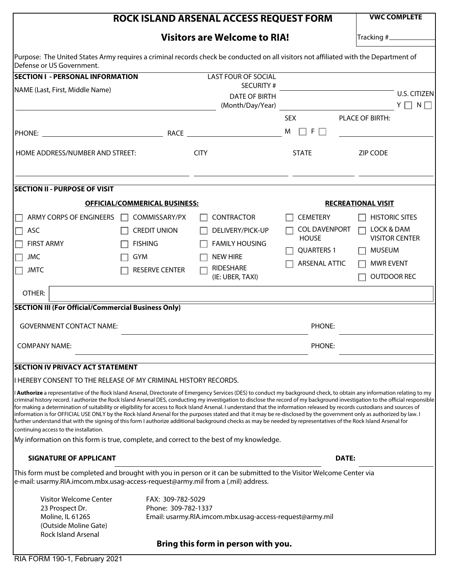|                                                                                                       | <b>VWC COMPLETE</b>                         |                                                                                                                                                                                                                                                                                                                                                                                                                                                                                                                                                                                                                                                                                                                                                                                                                                                                                                 |                      |                       |  |  |  |  |
|-------------------------------------------------------------------------------------------------------|---------------------------------------------|-------------------------------------------------------------------------------------------------------------------------------------------------------------------------------------------------------------------------------------------------------------------------------------------------------------------------------------------------------------------------------------------------------------------------------------------------------------------------------------------------------------------------------------------------------------------------------------------------------------------------------------------------------------------------------------------------------------------------------------------------------------------------------------------------------------------------------------------------------------------------------------------------|----------------------|-----------------------|--|--|--|--|
|                                                                                                       |                                             |                                                                                                                                                                                                                                                                                                                                                                                                                                                                                                                                                                                                                                                                                                                                                                                                                                                                                                 |                      |                       |  |  |  |  |
| Defense or US Government.                                                                             |                                             | Purpose: The United States Army requires a criminal records check be conducted on all visitors not affiliated with the Department of                                                                                                                                                                                                                                                                                                                                                                                                                                                                                                                                                                                                                                                                                                                                                            |                      |                       |  |  |  |  |
| <b>SECTION I - PERSONAL INFORMATION</b>                                                               |                                             | <b>LAST FOUR OF SOCIAL</b>                                                                                                                                                                                                                                                                                                                                                                                                                                                                                                                                                                                                                                                                                                                                                                                                                                                                      |                      |                       |  |  |  |  |
| NAME (Last, First, Middle Name)                                                                       |                                             | <b>SECURITY#</b>                                                                                                                                                                                                                                                                                                                                                                                                                                                                                                                                                                                                                                                                                                                                                                                                                                                                                |                      |                       |  |  |  |  |
|                                                                                                       |                                             | <b>DATE OF BIRTH</b>                                                                                                                                                                                                                                                                                                                                                                                                                                                                                                                                                                                                                                                                                                                                                                                                                                                                            |                      | <b>U.S. CITIZEN</b>   |  |  |  |  |
|                                                                                                       |                                             | (Month/Day/Year)                                                                                                                                                                                                                                                                                                                                                                                                                                                                                                                                                                                                                                                                                                                                                                                                                                                                                |                      | $Y \Box N \Box$       |  |  |  |  |
|                                                                                                       |                                             |                                                                                                                                                                                                                                                                                                                                                                                                                                                                                                                                                                                                                                                                                                                                                                                                                                                                                                 | <b>SEX</b>           | PLACE OF BIRTH:       |  |  |  |  |
|                                                                                                       |                                             |                                                                                                                                                                                                                                                                                                                                                                                                                                                                                                                                                                                                                                                                                                                                                                                                                                                                                                 | $\Box$ F $\Box$<br>M |                       |  |  |  |  |
| HOME ADDRESS/NUMBER AND STREET:                                                                       |                                             | <b>CITY</b>                                                                                                                                                                                                                                                                                                                                                                                                                                                                                                                                                                                                                                                                                                                                                                                                                                                                                     | <b>STATE</b>         | <b>ZIP CODE</b>       |  |  |  |  |
| <b>SECTION II - PURPOSE OF VISIT</b>                                                                  |                                             |                                                                                                                                                                                                                                                                                                                                                                                                                                                                                                                                                                                                                                                                                                                                                                                                                                                                                                 |                      |                       |  |  |  |  |
| <b>OFFICIAL/COMMERICAL BUSINESS:</b><br><b>RECREATIONAL VISIT</b>                                     |                                             |                                                                                                                                                                                                                                                                                                                                                                                                                                                                                                                                                                                                                                                                                                                                                                                                                                                                                                 |                      |                       |  |  |  |  |
| ARMY CORPS OF ENGINEERS                                                                               | COMMISSARY/PX                               | <b>CONTRACTOR</b>                                                                                                                                                                                                                                                                                                                                                                                                                                                                                                                                                                                                                                                                                                                                                                                                                                                                               | <b>CEMETERY</b>      | <b>HISTORIC SITES</b> |  |  |  |  |
| ASC                                                                                                   | <b>CREDIT UNION</b>                         | DELIVERY/PICK-UP                                                                                                                                                                                                                                                                                                                                                                                                                                                                                                                                                                                                                                                                                                                                                                                                                                                                                | <b>COL DAVENPORT</b> | LOCK & DAM            |  |  |  |  |
|                                                                                                       |                                             |                                                                                                                                                                                                                                                                                                                                                                                                                                                                                                                                                                                                                                                                                                                                                                                                                                                                                                 | <b>HOUSE</b>         | <b>VISITOR CENTER</b> |  |  |  |  |
| <b>FIRST ARMY</b>                                                                                     | <b>FISHING</b>                              | <b>FAMILY HOUSING</b>                                                                                                                                                                                                                                                                                                                                                                                                                                                                                                                                                                                                                                                                                                                                                                                                                                                                           | <b>QUARTERS 1</b>    | <b>MUSEUM</b>         |  |  |  |  |
| <b>JMC</b>                                                                                            | <b>GYM</b>                                  | <b>NEW HIRE</b>                                                                                                                                                                                                                                                                                                                                                                                                                                                                                                                                                                                                                                                                                                                                                                                                                                                                                 | ARSENAL ATTIC        | <b>MWR EVENT</b>      |  |  |  |  |
| <b>JMTC</b>                                                                                           | <b>RESERVE CENTER</b>                       | <b>RIDESHARE</b><br>(IE: UBER, TAXI)                                                                                                                                                                                                                                                                                                                                                                                                                                                                                                                                                                                                                                                                                                                                                                                                                                                            |                      | <b>OUTDOOR REC</b>    |  |  |  |  |
| OTHER:                                                                                                |                                             |                                                                                                                                                                                                                                                                                                                                                                                                                                                                                                                                                                                                                                                                                                                                                                                                                                                                                                 |                      |                       |  |  |  |  |
| <b>SECTION III (For Official/Commercial Business Only)</b>                                            |                                             |                                                                                                                                                                                                                                                                                                                                                                                                                                                                                                                                                                                                                                                                                                                                                                                                                                                                                                 |                      |                       |  |  |  |  |
| <b>GOVERNMENT CONTACT NAME:</b>                                                                       |                                             |                                                                                                                                                                                                                                                                                                                                                                                                                                                                                                                                                                                                                                                                                                                                                                                                                                                                                                 | PHONE:               |                       |  |  |  |  |
| <b>COMPANY NAME:</b>                                                                                  |                                             |                                                                                                                                                                                                                                                                                                                                                                                                                                                                                                                                                                                                                                                                                                                                                                                                                                                                                                 | PHONE:               |                       |  |  |  |  |
| <b>SECTION IV PRIVACY ACT STATEMENT</b>                                                               |                                             |                                                                                                                                                                                                                                                                                                                                                                                                                                                                                                                                                                                                                                                                                                                                                                                                                                                                                                 |                      |                       |  |  |  |  |
| I HEREBY CONSENT TO THE RELEASE OF MY CRIMINAL HISTORY RECORDS.                                       |                                             |                                                                                                                                                                                                                                                                                                                                                                                                                                                                                                                                                                                                                                                                                                                                                                                                                                                                                                 |                      |                       |  |  |  |  |
| continuing access to the installation.                                                                |                                             | <b>Authorize</b> a representative of the Rock Island Arsenal, Directorate of Emergency Services (DES) to conduct my background check, to obtain any information relating to my<br>criminal history record. I authorize the Rock Island Arsenal DES, conducting my investigation to disclose the record of my background investigation to the official responsible<br>for making a determination of suitability or eligibility for access to Rock Island Arsenal. I understand that the information released by records custodians and sources of<br>information is for OFFICIAL USE ONLY by the Rock Island Arsenal for the purposes stated and that it may be re-disclosed by the government only as authorized by law. I<br>further understand that with the signing of this form I authorize additional background checks as may be needed by representatives of the Rock Island Arsenal for |                      |                       |  |  |  |  |
|                                                                                                       |                                             | My information on this form is true, complete, and correct to the best of my knowledge.                                                                                                                                                                                                                                                                                                                                                                                                                                                                                                                                                                                                                                                                                                                                                                                                         |                      |                       |  |  |  |  |
| <b>SIGNATURE OF APPLICANT</b><br>DATE:                                                                |                                             |                                                                                                                                                                                                                                                                                                                                                                                                                                                                                                                                                                                                                                                                                                                                                                                                                                                                                                 |                      |                       |  |  |  |  |
| e-mail: usarmy.RIA.imcom.mbx.usag-access-request@army.mil from a (.mil) address.                      |                                             | This form must be completed and brought with you in person or it can be submitted to the Visitor Welcome Center via                                                                                                                                                                                                                                                                                                                                                                                                                                                                                                                                                                                                                                                                                                                                                                             |                      |                       |  |  |  |  |
|                                                                                                       | Visitor Welcome Center<br>FAX: 309-782-5029 |                                                                                                                                                                                                                                                                                                                                                                                                                                                                                                                                                                                                                                                                                                                                                                                                                                                                                                 |                      |                       |  |  |  |  |
| 23 Prospect Dr.                                                                                       | Phone: 309-782-1337                         |                                                                                                                                                                                                                                                                                                                                                                                                                                                                                                                                                                                                                                                                                                                                                                                                                                                                                                 |                      |                       |  |  |  |  |
| Moline, IL 61265<br>Email: usarmy.RIA.imcom.mbx.usag-access-request@army.mil<br>(Outside Moline Gate) |                                             |                                                                                                                                                                                                                                                                                                                                                                                                                                                                                                                                                                                                                                                                                                                                                                                                                                                                                                 |                      |                       |  |  |  |  |
| <b>Rock Island Arsenal</b>                                                                            |                                             |                                                                                                                                                                                                                                                                                                                                                                                                                                                                                                                                                                                                                                                                                                                                                                                                                                                                                                 |                      |                       |  |  |  |  |
| Bring this form in person with you.                                                                   |                                             |                                                                                                                                                                                                                                                                                                                                                                                                                                                                                                                                                                                                                                                                                                                                                                                                                                                                                                 |                      |                       |  |  |  |  |
| RIA FORM 190-1, February 2021                                                                         |                                             |                                                                                                                                                                                                                                                                                                                                                                                                                                                                                                                                                                                                                                                                                                                                                                                                                                                                                                 |                      |                       |  |  |  |  |